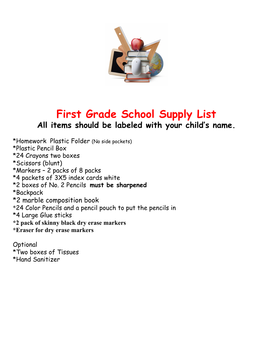

## **First Grade School Supply List All items should be labeled with your child's name.**

\*Homework Plastic Folder (No side pockets) \*Plastic Pencil Box \*24 Crayons two boxes \*Scissors (blunt) \*Markers – 2 packs of 8 packs \*4 packets of 3X5 index cards white \*2 boxes of No. 2 Pencils **must be sharpened** \*Backpack \*2 marble composition book \*24 Color Pencils and a pencil pouch to put the pencils in \*4 Large Glue sticks **\*2 pack of skinny black dry erase markers \*Eraser for dry erase markers**

Optional \*Two boxes of Tissues \*Hand Sanitizer